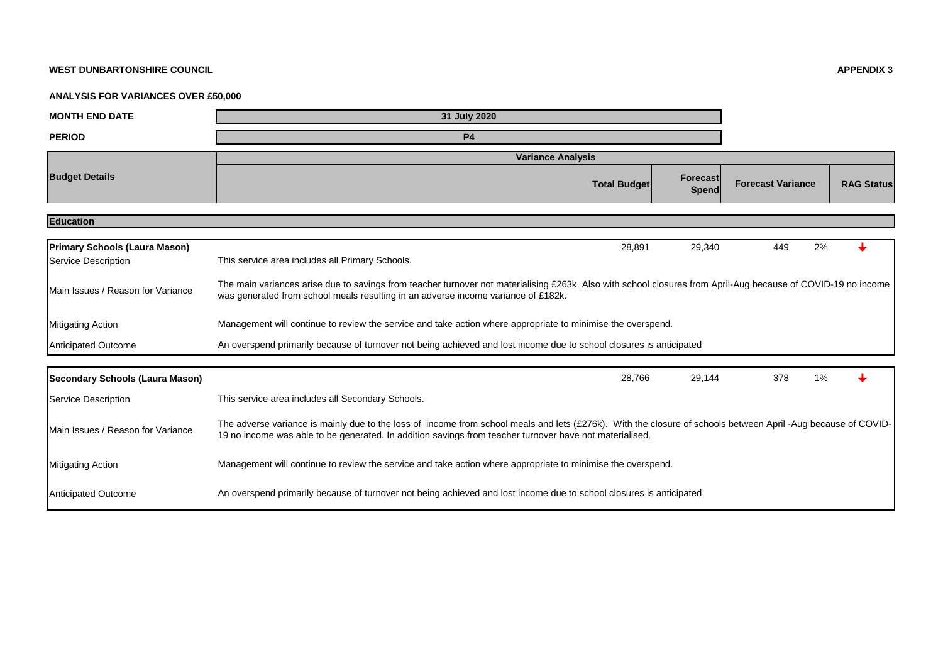## **WEST DUNBARTONSHIRE COUNCIL APPENDIX 3**

## **ANALYSIS FOR VARIANCES OVER £50,000**

| <b>MONTH END DATE</b>                                       | 31 July 2020                                                                                                                                                                                                                                                             |                          |                          |                   |  |  |
|-------------------------------------------------------------|--------------------------------------------------------------------------------------------------------------------------------------------------------------------------------------------------------------------------------------------------------------------------|--------------------------|--------------------------|-------------------|--|--|
| <b>PERIOD</b>                                               | <b>P4</b>                                                                                                                                                                                                                                                                |                          |                          |                   |  |  |
|                                                             | <b>Variance Analysis</b>                                                                                                                                                                                                                                                 |                          |                          |                   |  |  |
| <b>Budget Details</b>                                       | <b>Total Budget</b>                                                                                                                                                                                                                                                      | <b>Forecast</b><br>Spend | <b>Forecast Variance</b> | <b>RAG Status</b> |  |  |
| <b>Education</b>                                            |                                                                                                                                                                                                                                                                          |                          |                          |                   |  |  |
| <b>Primary Schools (Laura Mason)</b><br>Service Description | 28,891<br>This service area includes all Primary Schools.                                                                                                                                                                                                                | 29,340                   | 2%<br>449                |                   |  |  |
| Main Issues / Reason for Variance                           | The main variances arise due to savings from teacher turnover not materialising £263k. Also with school closures from April-Aug because of COVID-19 no income<br>was generated from school meals resulting in an adverse income variance of £182k.                       |                          |                          |                   |  |  |
| <b>Mitigating Action</b>                                    | Management will continue to review the service and take action where appropriate to minimise the overspend.                                                                                                                                                              |                          |                          |                   |  |  |
| <b>Anticipated Outcome</b>                                  | An overspend primarily because of turnover not being achieved and lost income due to school closures is anticipated                                                                                                                                                      |                          |                          |                   |  |  |
| <b>Secondary Schools (Laura Mason)</b>                      | 28,766                                                                                                                                                                                                                                                                   | 29,144                   | 1%<br>378                |                   |  |  |
| Service Description                                         | This service area includes all Secondary Schools.                                                                                                                                                                                                                        |                          |                          |                   |  |  |
| Main Issues / Reason for Variance                           | The adverse variance is mainly due to the loss of income from school meals and lets (£276k). With the closure of schools between April -Aug because of COVID-<br>19 no income was able to be generated. In addition savings from teacher turnover have not materialised. |                          |                          |                   |  |  |
| <b>Mitigating Action</b>                                    | Management will continue to review the service and take action where appropriate to minimise the overspend.                                                                                                                                                              |                          |                          |                   |  |  |
| <b>Anticipated Outcome</b>                                  | An overspend primarily because of turnover not being achieved and lost income due to school closures is anticipated                                                                                                                                                      |                          |                          |                   |  |  |